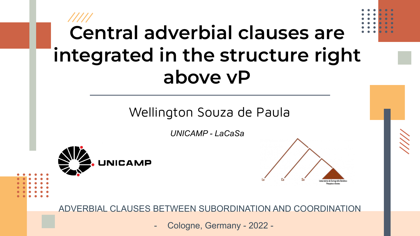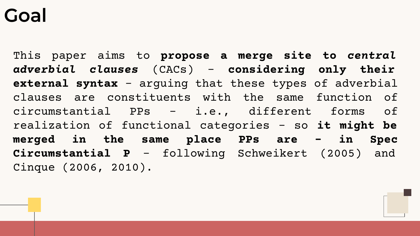## **Goal**

This paper aims to **propose a merge site to** *central adverbial clauses* (CACs) – **considering only their external syntax** – arguing that these types of adverbial clauses are constituents with the same function of circumstantial PPs – i.e., different forms of realization of functional categories – so **it might be merged in the same place PPs are – in Spec Circumstantial P** – following Schweikert (2005) and Cinque (2006, 2010).

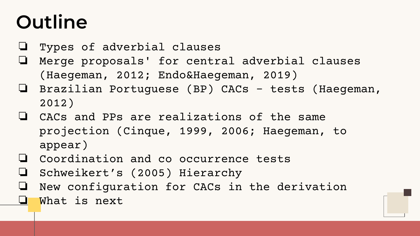# **Outline**

- ❏ Types of adverbial clauses
- ❏ Merge proposals' for central adverbial clauses (Haegeman, 2012; Endo&Haegeman, 2019)
- ❏ Brazilian Portuguese (BP) CACs tests (Haegeman, 2012)
- ❏ CACs and PPs are realizations of the same projection (Cinque, 1999, 2006; Haegeman, to appear)
- ❏ Coordination and co occurrence tests
- ❏ Schweikert's (2005) Hierarchy
- ❏ New configuration for CACs in the derivation
	- What is next

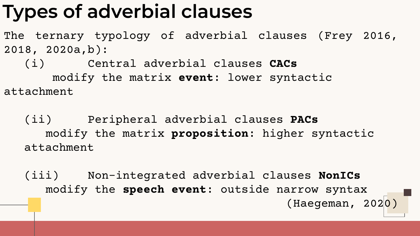# **Types of adverbial clauses**

The ternary typology of adverbial clauses (Frey 2016, 2018, 2020a,b):

(i) Central adverbial clauses **CACs** modify the matrix **event**: lower syntactic attachment

(ii) Peripheral adverbial clauses **PACs** modify the matrix **proposition**: higher syntactic attachment

(iii) Non-integrated adverbial clauses **NonICs** modify the **speech event**: outside narrow syntax (Haegeman, 2020)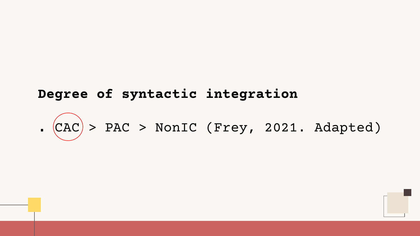### **Degree of syntactic integration**

# **.** CAC > PAC > NonIC (Frey, 2021. Adapted)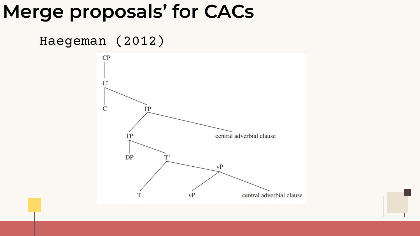## **Merge proposals' for CACs**

### Haegeman (2012)

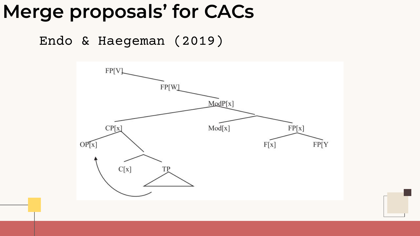## **Merge proposals' for CACs**

Endo & Haegeman (2019)

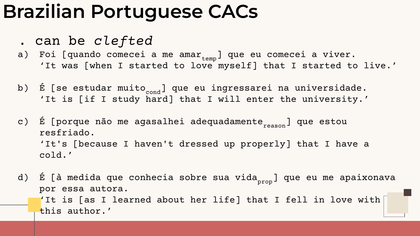## **Brazilian Portuguese CACs**

- . can be *clefted*
- a) Foi [quando comecei a me ama $r_{\text{temp}}$ ] que eu comecei a viver. 'It was [when I started to love myself] that I started to live.'
- b) É [se estudar muito<sub>cond</sub>] que eu ingressarei na universidade. 'It is [if I study hard] that I will enter the university.'
- c) É [porque não me agasalhei adequadamente<sub>reason</sub>] que estou resfriado. 'It's [because I haven't dressed up properly] that I have a cold.'
- d) É [à medida que conhecia sobre sua vida<sub>prop</sub>] que eu me apaixonava por essa autora. 'It is [as I learned about her life] that I fell in love with  $\vert$ this author.'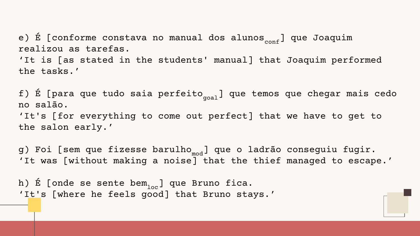e) É [conforme constava no manual dos alunos $_{conf}$ ] que Joaquim realizou as tarefas.

'It is [as stated in the students' manual] that Joaquim performed the tasks.'

f) É [para que tudo saia perfeito<sub>goal</sub>] que temos que chegar mais cedo no salão. 'It's [for everything to come out perfect] that we have to get to the salon early.'

g) Foi [sem que fizesse barulho<sub>mod</sub>] que o ladrão conseguiu fugir. 'It was [without making a noise] that the thief managed to escape.'

h) É [onde se sente bem<sub>loc</sub>] que Bruno fica. 'It's [where he feels good] that Bruno stays.'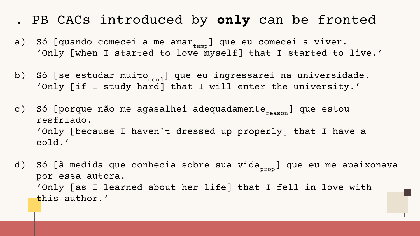### . PB CACs introduced by **only** can be fronted

- a) Só [quando comecei a me ama $r_{temp}$ ] que eu comecei a viver. 'Only [when I started to love myself] that I started to live.'
- b) Só [se estudar muito<sub>cond</sub>] que eu ingressarei na universidade. 'Only [if I study hard] that I will enter the university.'
- c) Só [porque não me agasalhei adequadamente<sub>reason</sub>] que estou resfriado. 'Only [because I haven't dressed up properly] that I have a cold.'
- d) Só [à medida que conhecia sobre sua vida<sub>prop</sub>] que eu me apaixonava por essa autora. 'Only [as I learned about her life] that I fell in love with this author.'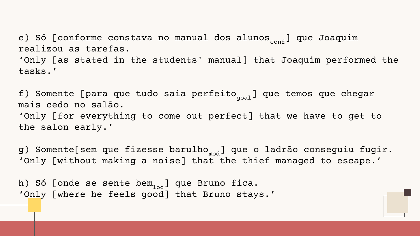e) Só [conforme constava no manual dos alunos<sub>conf</sub>] que Joaquim realizou as tarefas.

'Only [as stated in the students' manual] that Joaquim performed the tasks.'

f) Somente [para que tudo saia perfeito $_{\rm goal}$ ] que temos que chegar mais cedo no salão. 'Only [for everything to come out perfect] that we have to get to the salon early.'

g) Somente[sem que fizesse barulho<sub>mod</sub>] que o ladrão conseguiu fugir. 'Only [without making a noise] that the thief managed to escape.'

h) Só [onde se sente bem<sub>loc</sub>] que Bruno fica. 'Only [where he feels good] that Bruno stays.'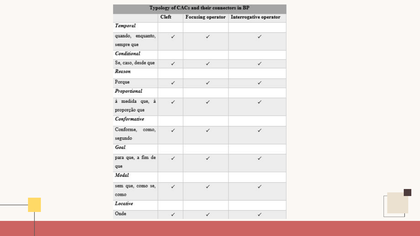| Typology of CACs and their connectors in BP |       |   |                                          |
|---------------------------------------------|-------|---|------------------------------------------|
|                                             | Cleft |   | Focusing operator Interrogative operator |
| Temporal                                    |       |   |                                          |
| quando, enquanto,<br>sempre que             |       | ✓ | ✓                                        |
| Conditional                                 |       |   |                                          |
| Se, caso, desde que                         | ✓     | ✓ | ✓                                        |
| Reason                                      |       |   |                                          |
| Porque                                      | ✓     | ✓ | ✓                                        |
| Proportional                                |       |   |                                          |
| à medida que, à<br>proporção que            |       | √ | ✓                                        |
| Conformative                                |       |   |                                          |
| Conforme, como,<br>segundo                  | ✓     | ✓ | ✓                                        |
| Goal                                        |       |   |                                          |
| para que, a fim de<br>que                   | ✓     | ✓ | ✓                                        |
| Modal                                       |       |   |                                          |
| sem que, como se,<br>como                   | ✓     | ✓ | ✓                                        |
| Locative                                    |       |   |                                          |
| Onde                                        | ✓     | ✓ | ✓                                        |

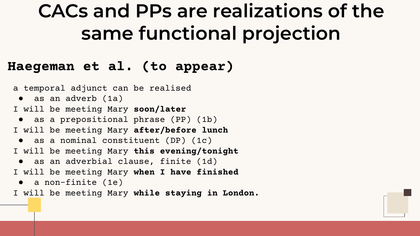# **CACs and PPs are realizations of the same functional projection**

### **Haegeman et al. (to appear)**

a temporal adjunct can be realised ● as an adverb (1a) I will be meeting Mary **soon/later** ● as a prepositional phrase (PP) (1b) I will be meeting Mary **after/before lunch** ● as a nominal constituent (DP) (1c) I will be meeting Mary **this evening/tonight** ● as an adverbial clause, finite (1d) I will be meeting Mary **when I have finished** ● a non-finite (1e)

I will be meeting Mary **while staying in London.**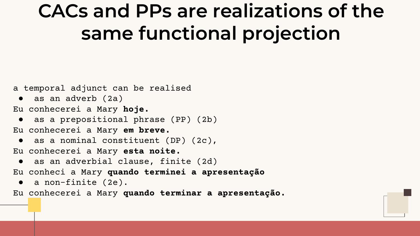# **CACs and PPs are realizations of the same functional projection**

a temporal adjunct can be realised

● as an adverb (2a)

Eu conhecerei a Mary **hoje.**

● as a prepositional phrase (PP) (2b) Eu conhecerei a Mary **em breve.**

● as a nominal constituent (DP) (2c), Eu conhecerei a Mary **esta noite.**

● as an adverbial clause, finite (2d)

Eu conheci a Mary **quando terminei a apresentação**

● a non-finite (2e).

Eu conhecerei a Mary **quando terminar a apresentação.**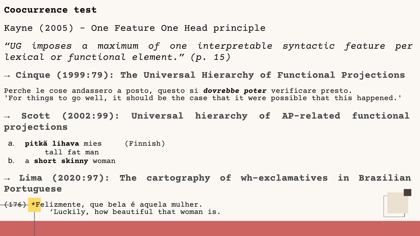#### **Coocurrence test**

Kayne (2005) - One Feature One Head principle

*"UG imposes a maximum of one interpretable syntactic feature per lexical or functional element." (p. 15)*

**→ Cinque (1999:79): The Universal Hierarchy of Functional Projections**

Perche le cose andassero a posto, questo si *dovrebbe poter* verificare presto. 'For things to go well, it should be the case that it were possible that this happened.'

→ **Scott (2002:99): Universal hierarchy of AP-related functional projections**

a. **pitkä lihava** mies (Finnish) tall fat man

b. a **short skinny** woman

→ **Lima (2020:97): The cartography of wh-exclamatives in Brazilian Portuguese**

<del>(176) \*F</del>elizmente, que bela é aquela mulher. 'Luckily, how beautiful that woman is.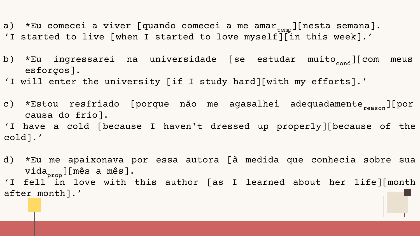- a) \*Eu comecei a viver [quando comecei a me ama $r_{\text{temp}}$ ][nesta semana]. 'I started to live [when I started to love myself][in this week].'
- b) \*Eu ingressarei na universidade [se estudar muito<sub>cond</sub>][com meus esforços].
- 'I will enter the university [if I study hard][with my efforts].'
- c) \*Estou resfriado [porque não me agasalhei adequadamente<sub>reason</sub>][por causa do frio]. 'I have a cold [because I haven't dressed up properly][because of the cold].'
- d) \*Eu me apaixonava por essa autora [à medida que conhecia sobre sua vida<sub>prop</sub>][mês a mês].<br>. 'I fell in love with this author [as I learned about her life][month after month].'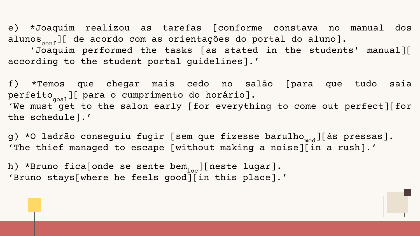e) \*Joaquim realizou as tarefas [conforme constava no manual dos alunos<sub>conf</sub>][ de acordo com as orientações do portal do aluno].

 'Joaquim performed the tasks [as stated in the students' manual][ according to the student portal guidelines].'

f) \*Temos que chegar mais cedo no salão [para que tudo saia perfeito<sub>goal</sub>][ para o cumprimento do horário]. 'We must get to the salon early [for everything to come out perfect][for the schedule].'

g) \*O ladrão conseguiu fugir [sem que fizesse barulho<sub>mod</sub>][às pressas]. 'The thief managed to escape [without making a noise][in a rush].'

h) \*Bruno fica[onde se sente bem<sub>loc</sub>][neste lugar]. 'Bruno stays[where he feels good][in this place].'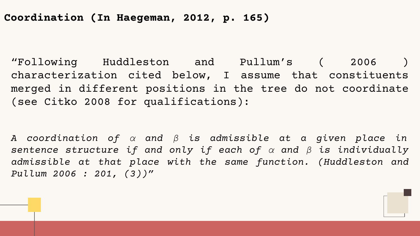### **Coordination (In Haegeman, 2012, p. 165)**

"Following Huddleston and Pullum's ( 2006 ) characterization cited below, I assume that constituents merged in different positions in the tree do not coordinate (see Citko 2008 for qualifications):

*A coordination of α and β is admissible at a given place in sentence structure if and only if each of α and β is individually admissible at that place with the same function. (Huddleston and Pullum 2006 : 201, (3))"*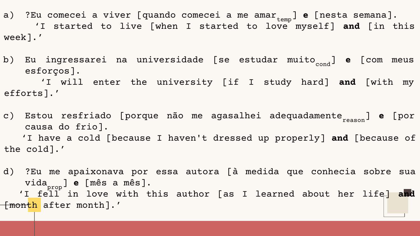a) ?Eu comecei a viver [quando comecei a me amar<sub>temp</sub>] **e** [nesta semana]. 'I started to live [when I started to love myself] **and** [in this week].'

b) Eu ingressarei na universidade [se estudar muito<sub>cond</sub>] e [com meus esforços]. 'I will enter the university [if I study hard] **and** [with my efforts].'

c) Estou resfriado [porque não me agasalhei adequadamente<sub>reason</sub>] **e** [por causa do frio]. 'I have a cold [because I haven't dressed up properly] **and** [because of the cold].'

d) ?Eu me apaixonava por essa autora [à medida que conhecia sobre sua vida prop ] **e** [mês a mês]. 'I fell in love with this author [as I learned about her life] **and**  $\lceil$ month after month].'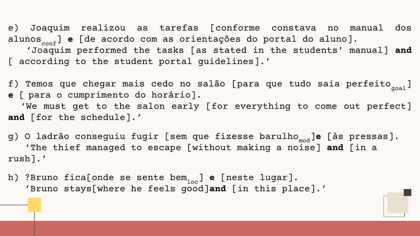e) Joaquim realizou as tarefas [conforme constava no manual dos alunos<sub>conf</sub>] **e** [de acordo com as orientações do portal do aluno]. 'Joaquim performed the tasks [as stated in the students' manual] **and**  [ according to the student portal quidelines].'

f) Temos que chegar mais cedo no salão [para que tudo saia perfeito $_{\text{goal}}$ ] **e** [ para o cumprimento do horário]. 'We must get to the salon early [for everything to come out perfect] **and** [for the schedule].'

g) O ladrão conseguiu fugir [sem que fizesse barulho<sub>mod</sub>]e [às pressas]. 'The thief managed to escape [without making a noise] **and** [in a rush].'

h) ?Bruno fica[onde se sente bem<sub>loc</sub>] **e** [neste lugar]. 'Bruno stays[where he feels good]**and** [in this place].'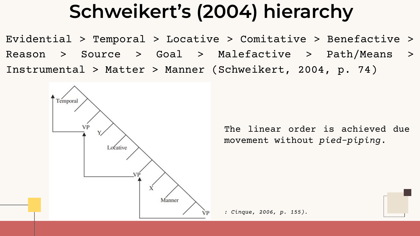# **Schweikert's (2004) hierarchy**

Evidential > Temporal > Locative > Comitative > Benefactive > Reason > Source > Goal > Malefactive > Path/Means > Instrumental > Matter > Manner (Schweikert, 2004, p. 74)



The linear order is achieved due movement without *pied-piping*.

*: Cinque, 2006, p. 155).*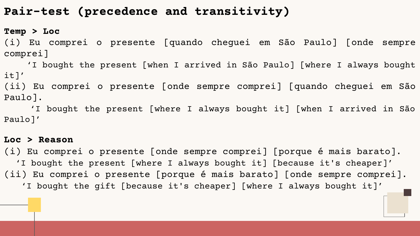### **Pair-test (precedence and transitivity)**

#### **Temp > Loc**

(i) Eu comprei o presente [quando cheguei em São Paulo] [onde sempre comprei]

 'I bought the present [when I arrived in São Paulo] [where I always bought it]' (ii) Eu comprei o presente [onde sempre comprei] [quando cheguei em São

Paulo].

 'I bought the present [where I always bought it] [when I arrived in São Paulo]'

#### **Loc > Reason**

(i) Eu comprei o presente [onde sempre comprei] [porque é mais barato]. 'I bought the present [where I always bought it] [because it's cheaper]' (ii) Eu comprei o presente [porque é mais barato] [onde sempre comprei]. 'I bought the gift [because it's cheaper] [where I always bought it]'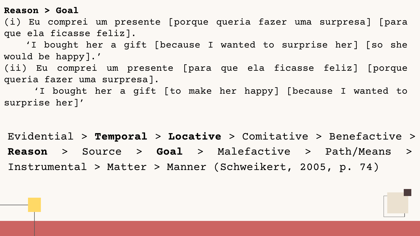**Reason > Goal**

(i) Eu comprei um presente [porque queria fazer uma surpresa] [para que ela ficasse feliz].

 'I bought her a gift [because I wanted to surprise her] [so she would be happy].'

(ii) Eu comprei um presente [para que ela ficasse feliz] [porque queria fazer uma surpresa].

 'I bought her a gift [to make her happy] [because I wanted to surprise her]'

Evidential > **Temporal** > **Locative** > Comitative > Benefactive > **Reason** > Source > **Goal** > Malefactive > Path/Means > Instrumental > Matter > Manner (Schweikert, 2005, p. 74)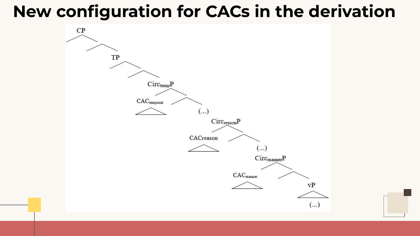## **New configuration for CACs in the derivation**



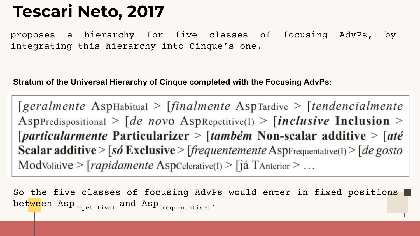## **Tescari Neto, 2017**

proposes a hierarchy for five classes of focusing AdvPs, by integrating this hierarchy into Cinque's one.

#### **Stratum of the Universal Hierarchy of Cinque completed with the Focusing AdvPs:**

 $\lceil \text{geralmente Asphabitual} \rangle$   $\lceil \text{finalmente Asprardive} \rangle$   $\lceil \text{tendencialmente}$ AspPredispositional >  $\int$  de novo AspRepetitive(I) >  $\int$  inclusive Inclusion >  $\lceil$ *particularmente* Particularizer >  $\lceil$ *também* Non-scalar additive >  $\lceil$ *até* **Scalar additive** > [so Exclusive > [frequentemente AspFrequentative(I) > [de gosto] ModVolitive > [rapidamente AspCelerative(I) > [já TAnterior > ...

So the five classes of focusing AdvPs would enter in fixed positions bet<mark>we</mark>en Asp<sub>repetitiveI</sub> and Asp<sub>frequentativeI</sub>.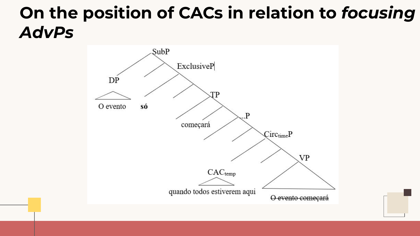## **On the position of CACs in relation to** *focusing AdvPs*

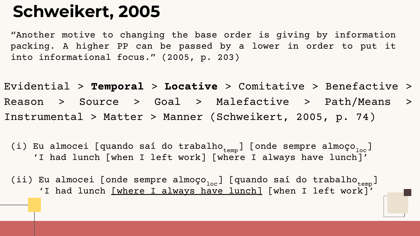## **Schweikert, 2005**

"Another motive to changing the base order is giving by information packing. A higher PP can be passed by a lower in order to put it into informational focus." (2005, p. 203)

Evidential > **Temporal** > **Locative** > Comitative > Benefactive > Reason > Source > Goal > Malefactive > Path/Means > Instrumental > Matter > Manner (Schweikert, 2005, p. 74)

(i) Eu almocei [quando saí do trabalho $_{\rm temp}$ ] [onde sempre almoço $_{\rm loc}$ ] 'I had lunch [when I left work] [where I always have lunch]'

(ii) Eu almocei [onde sempre almoço $_{\text{loc}}$ ] [quando saí do trabalho $_{\text{temp}}$ ] 'I had lunch <u>[where I always have lunch]</u> [when I left work]'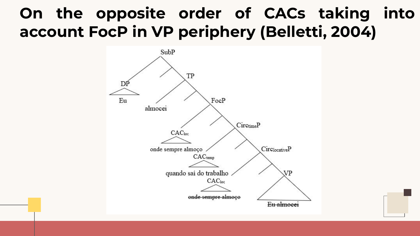### **On the opposite order of CACs taking into account FocP in VP periphery (Belletti, 2004)**



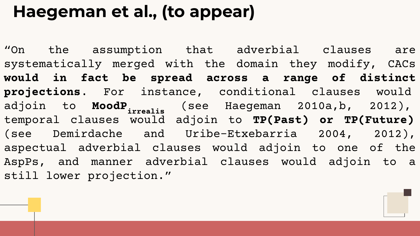## **Haegeman et al., (to appear)**

"On the assumption that adverbial clauses are systematically merged with the domain they modify, CACs **would in fact be spread across a range of distinct projections**. For instance, conditional clauses would adjoin to **MoodPirrealis** (see Haegeman 2010a,b, 2012), temporal clauses would adjoin to **TP(Past) or TP(Future)** (see Demirdache and Uribe-Etxebarria 2004, 2012), aspectual adverbial clauses would adjoin to one of the AspPs, and manner adverbial clauses would adjoin to a still lower projection."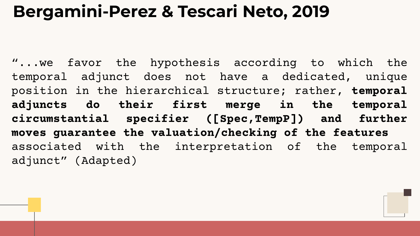### **Bergamini-Perez & Tescari Neto, 2019**

"...we favor the hypothesis according to which the temporal adjunct does not have a dedicated, unique position in the hierarchical structure; rather, **temporal adjuncts do their first merge in the temporal circumstantial specifier ([Spec,TempP]) and further moves guarantee the valuation/checking of the features** associated with the interpretation of the temporal adjunct" (Adapted)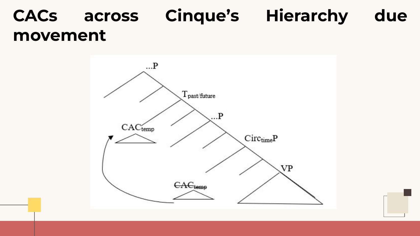## **CACs across Cinque's Hierarchy due movement**

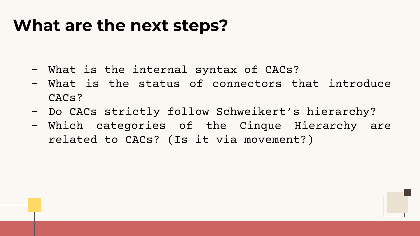### **What are the next steps?**

- What is the internal syntax of CACs?
- What is the status of connectors that introduce CACs?
- Do CACs strictly follow Schweikert's hierarchy?
- Which categories of the Cinque Hierarchy are related to CACs? (Is it via movement?)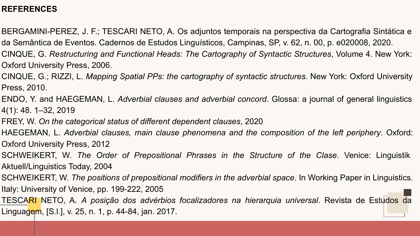#### **REFERENCES**

BERGAMINI-PEREZ, J. F.; TESCARI NETO, A. Os adjuntos temporais na perspectiva da Cartografia Sintática e da Semântica de Eventos. Cadernos de Estudos Linguísticos, Campinas, SP, v. 62, n. 00, p. e020008, 2020.

CINQUE, G. *Restructuring and Functional Heads: The Cartography of Syntactic Structures*, Volume 4. New York: Oxford University Press, 2006.

CINQUE, G.; RIZZI, L. *Mapping Spatial PPs: the cartography of syntactic structures*. New York: Oxford University Press, 2010.

ENDO, Y. and HAEGEMAN, L. *Adverbial clauses and adverbial concord*. Glossa: a journal of general linguistics 4(1): 48. 1–32, 2019

FREY, W. *On the categorical status of different dependent clauses*, 2020

HAEGEMAN, L. *Adverbial clauses, main clause phenomena and the composition of the left periphery*. Oxford: Oxford University Press, 2012

SCHWEIKERT, W. *The Order of Prepositional Phrases in the Structure of the Clase*. Venice: Linguistik Aktuell/Linguistics Today, 2004

SCHWEIKERT, W. *The positions of prepositional modifiers in the adverbial space*. In Working Paper in Linguistics. Italy: University of Venice, pp. 199-222, 2005

TESCARI NETO, A. *A posição dos advérbios focalizadores na hierarquia universal*. Revista de Estudos da Linguagem, [S.l.], v. 25, n. 1, p. 44-84, jan. 2017.